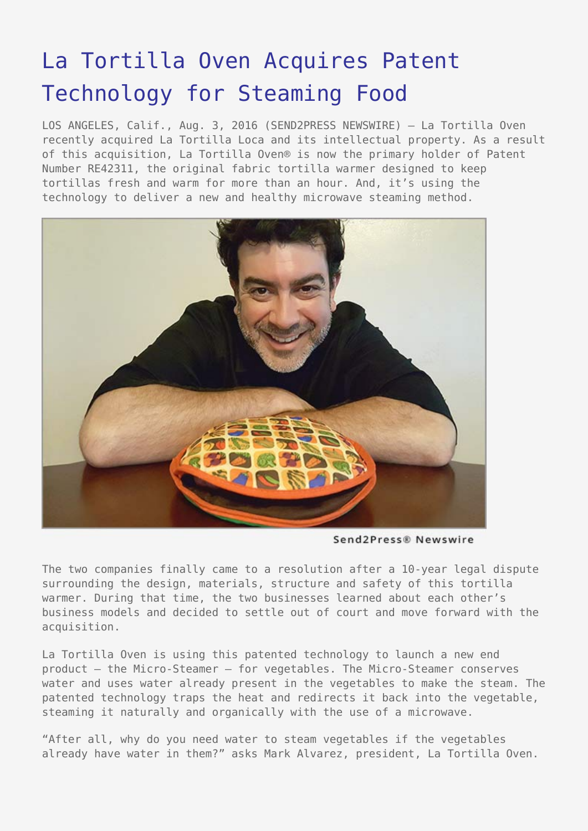## [La Tortilla Oven Acquires Patent](https://www.send2press.com/wire/la-tortilla-oven-acquires-patent-technology-for-steaming-food/) [Technology for Steaming Food](https://www.send2press.com/wire/la-tortilla-oven-acquires-patent-technology-for-steaming-food/)

LOS ANGELES, Calif., Aug. 3, 2016 (SEND2PRESS NEWSWIRE) — La Tortilla Oven recently acquired La Tortilla Loca and its intellectual property. As a result of this acquisition, La Tortilla Oven® is now the primary holder of Patent Number RE42311, the original fabric tortilla warmer designed to keep tortillas fresh and warm for more than an hour. And, it's using the technology to deliver a new and healthy microwave steaming method.



Send2Press® Newswire

The two companies finally came to a resolution after a 10-year legal dispute surrounding the design, materials, structure and safety of this tortilla warmer. During that time, the two businesses learned about each other's business models and decided to settle out of court and move forward with the acquisition.

La Tortilla Oven is using this patented technology to launch a new end product – the Micro-Steamer – for vegetables. The Micro-Steamer conserves water and uses water already present in the vegetables to make the steam. The patented technology traps the heat and redirects it back into the vegetable, steaming it naturally and organically with the use of a microwave.

"After all, why do you need water to steam vegetables if the vegetables already have water in them?" asks Mark Alvarez, president, La Tortilla Oven.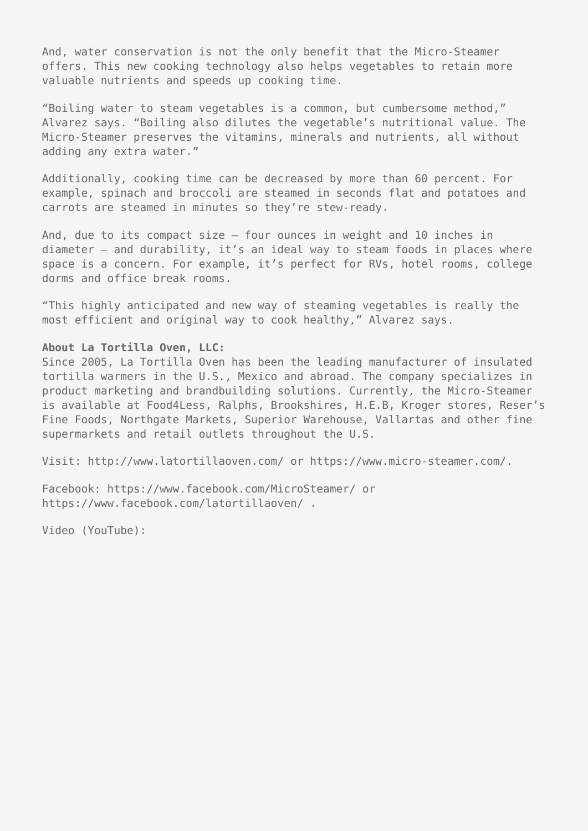And, water conservation is not the only benefit that the Micro-Steamer offers. This new cooking technology also helps vegetables to retain more valuable nutrients and speeds up cooking time.

"Boiling water to steam vegetables is a common, but cumbersome method," Alvarez says. "Boiling also dilutes the vegetable's nutritional value. The Micro-Steamer preserves the vitamins, minerals and nutrients, all without adding any extra water."

Additionally, cooking time can be decreased by more than 60 percent. For example, spinach and broccoli are steamed in seconds flat and potatoes and carrots are steamed in minutes so they're stew-ready.

And, due to its compact size – four ounces in weight and 10 inches in diameter – and durability, it's an ideal way to steam foods in places where space is a concern. For example, it's perfect for RVs, hotel rooms, college dorms and office break rooms.

"This highly anticipated and new way of steaming vegetables is really the most efficient and original way to cook healthy," Alvarez says.

## **About La Tortilla Oven, LLC:**

Since 2005, La Tortilla Oven has been the leading manufacturer of insulated tortilla warmers in the U.S., Mexico and abroad. The company specializes in product marketing and brandbuilding solutions. Currently, the Micro-Steamer is available at Food4Less, Ralphs, Brookshires, H.E.B, Kroger stores, Reser's Fine Foods, Northgate Markets, Superior Warehouse, Vallartas and other fine supermarkets and retail outlets throughout the U.S.

Visit: http://www.latortillaoven.com/ or https://www.micro-steamer.com/.

Facebook: https://www.facebook.com/MicroSteamer/ or https://www.facebook.com/latortillaoven/ .

Video (YouTube):